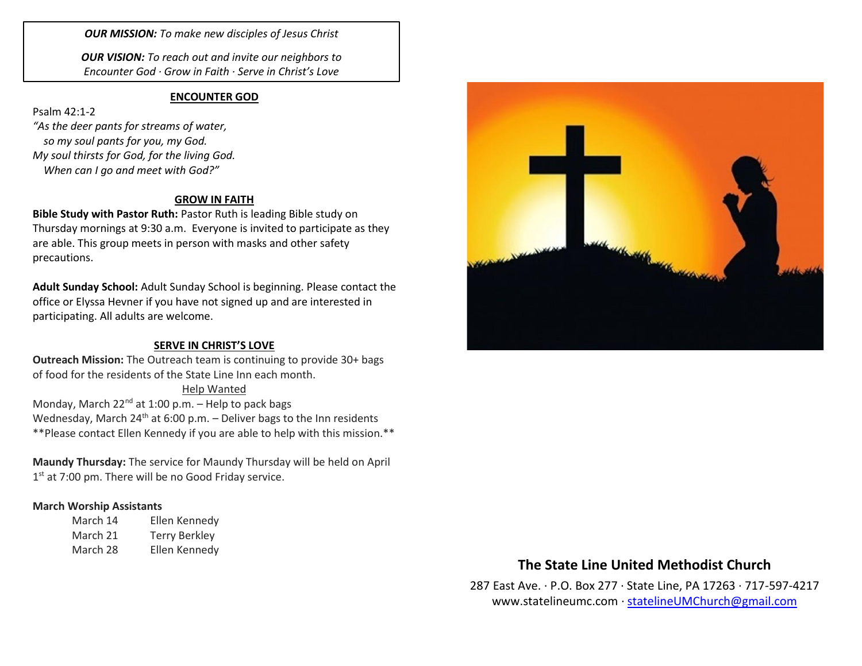*OUR MISSION: To make new disciples of Jesus Christ*

*OUR VISION: To reach out and invite our neighbors to Encounter God · Grow in Faith · Serve in Christ's Love*

#### **ENCOUNTER GOD**

Psalm 42:1-2 *"As the deer pants for streams of water, so my soul pants for you, my God. My soul thirsts for God, for the living God. When can I go and meet with God?"*

### **GROW IN FAITH**

**Bible Study with Pastor Ruth:** Pastor Ruth is leading Bible study on Thursday mornings at 9:30 a.m. Everyone is invited to participate as they are able. This group meets in person with masks and other safety precautions.

**Adult Sunday School:** Adult Sunday School is beginning. Please contact the office or Elyssa Hevner if you have not signed up and are interested in participating. All adults are welcome.

#### **SERVE IN CHRIST'S LOVE**

**Outreach Mission:** The Outreach team is continuing to provide 30+ bags of food for the residents of the State Line Inn each month.

Help Wanted Monday, March  $22^{nd}$  at 1:00 p.m. – Help to pack bags Wednesday, March  $24^{th}$  at 6:00 p.m. – Deliver bags to the Inn residents \*\*Please contact Ellen Kennedy if you are able to help with this mission.\*\*

**Maundy Thursday:** The service for Maundy Thursday will be held on April 1<sup>st</sup> at 7:00 pm. There will be no Good Friday service.

### **March Worship Assistants**

| March 14 | Ellen Kennedy        |
|----------|----------------------|
| March 21 | <b>Terry Berkley</b> |
| March 28 | Ellen Kennedy        |



# **The State Line United Methodist Church**

287 East Ave. · P.O. Box 277 · State Line, PA 17263 · 717-597-4217 [www.statelineumc.com](http://www.statelineumc.com/) · [statelineUMChurch@gmail.com](mailto:statelineUMChurch@gmail.com)